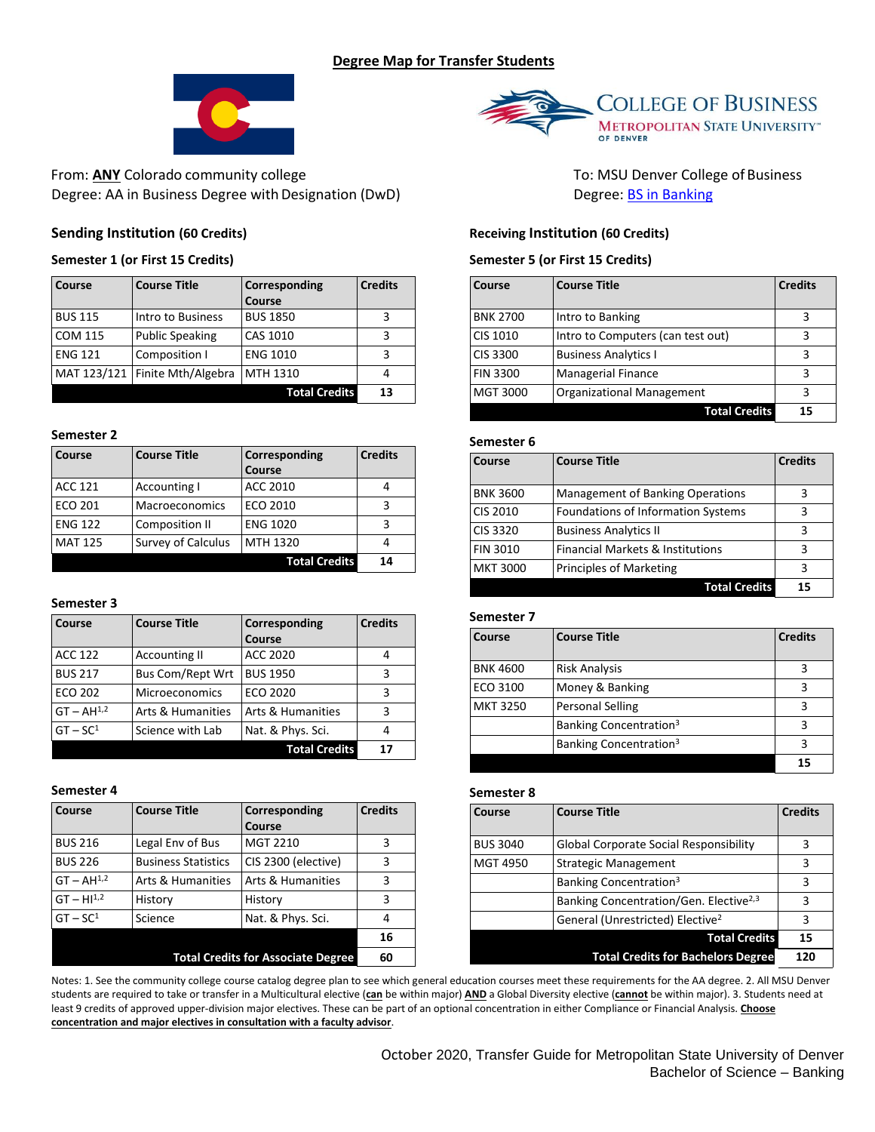# **Degree Map for Transfer Students**



From: **ANY** Colorado community college To: MSU Denver College of Business Degree: AA in Business Degree with Designation (DwD) Degree: [BS in Banking](https://www.msudenver.edu/finance/banking/)

## **Sending Institution (60 Credits)**

## **Semester 1 (or First 15 Credits)**

| Course         | <b>Course Title</b>    | Corresponding        | <b>Credits</b> |
|----------------|------------------------|----------------------|----------------|
|                |                        | Course               |                |
| <b>BUS 115</b> | Intro to Business      | <b>BUS 1850</b>      |                |
| COM 115        | <b>Public Speaking</b> | CAS 1010             |                |
| <b>ENG 121</b> | Composition I          | <b>ENG 1010</b>      |                |
| MAT 123/121    | Finite Mth/Algebra     | MTH 1310             |                |
|                |                        | <b>Total Credits</b> | 13             |

### **Semester 2**

| Course         | <b>Course Title</b>       | Corresponding        | <b>Credits</b> |
|----------------|---------------------------|----------------------|----------------|
|                |                           | Course               |                |
| <b>ACC 121</b> | Accounting I              | ACC 2010             |                |
| <b>ECO 201</b> | <b>Macroeconomics</b>     | ECO 2010             | ٦              |
| <b>ENG 122</b> | Composition II            | <b>ENG 1020</b>      | ς              |
| <b>MAT 125</b> | <b>Survey of Calculus</b> | MTH 1320             |                |
|                |                           | <b>Total Credits</b> | 14             |

### **Semester 3**

| Course          | <b>Course Title</b>     | Corresponding                | <b>Credits</b> |
|-----------------|-------------------------|------------------------------|----------------|
|                 |                         | Course                       |                |
| <b>ACC 122</b>  | <b>Accounting II</b>    | ACC 2020                     |                |
| <b>BUS 217</b>  | <b>Bus Com/Rept Wrt</b> | <b>BUS 1950</b>              | 3              |
| <b>ECO 202</b>  | <b>Microeconomics</b>   | ECO 2020                     | 3              |
| $GT - AH^{1,2}$ | Arts & Humanities       | <b>Arts &amp; Humanities</b> | 3              |
| $GT - SC1$      | Science with Lab        | Nat. & Phys. Sci.            |                |
|                 |                         | <b>Total Credits</b>         | 17             |

### **Semester 4**

| Course                                    | <b>Course Title</b>        | Corresponding                | <b>Credits</b> |
|-------------------------------------------|----------------------------|------------------------------|----------------|
|                                           |                            | Course                       |                |
| <b>BUS 216</b>                            | Legal Env of Bus           | MGT 2210                     | 3              |
| <b>BUS 226</b>                            | <b>Business Statistics</b> | CIS 2300 (elective)          | 3              |
| $GT - AH1,2$                              | Arts & Humanities          | <b>Arts &amp; Humanities</b> | 3              |
| $GT - H1^{1,2}$                           | History                    | History                      | 3              |
| $GT - SC1$                                | Science                    | Nat. & Phys. Sci.            | 4              |
|                                           |                            |                              | 16             |
| <b>Total Credits for Associate Degree</b> |                            | 60                           |                |



## **Receiving Institution (60 Credits)**

### **Semester 5 (or First 15 Credits)**

| Course          | <b>Course Title</b>               | <b>Credits</b> |
|-----------------|-----------------------------------|----------------|
| <b>BNK 2700</b> | Intro to Banking                  | 3              |
| CIS 1010        | Intro to Computers (can test out) |                |
| CIS 3300        | <b>Business Analytics I</b>       |                |
| <b>FIN 3300</b> | <b>Managerial Finance</b>         | ς              |
| <b>MGT 3000</b> | <b>Organizational Management</b>  | з              |
|                 | <b>Total Credits</b>              | 15             |

#### **Semester 6**

| Course          | <b>Course Title</b>                       | <b>Credits</b> |
|-----------------|-------------------------------------------|----------------|
|                 |                                           |                |
| <b>BNK 3600</b> | <b>Management of Banking Operations</b>   | 3              |
| <b>CIS 2010</b> | <b>Foundations of Information Systems</b> | 3              |
| CIS 3320        | <b>Business Analytics II</b>              | 3              |
| <b>FIN 3010</b> | Financial Markets & Institutions          | 3              |
| <b>MKT 3000</b> | <b>Principles of Marketing</b>            | 3              |
|                 | <b>Total Credits</b>                      | 15             |

#### **Semester 7**

| Course          | <b>Course Title</b>                | <b>Credits</b> |
|-----------------|------------------------------------|----------------|
| <b>BNK 4600</b> | <b>Risk Analysis</b>               | 3              |
| ECO 3100        | Money & Banking                    | 3              |
| <b>MKT 3250</b> | <b>Personal Selling</b>            | з              |
|                 | Banking Concentration <sup>3</sup> |                |
|                 | Banking Concentration <sup>3</sup> | з              |
|                 |                                    | 15             |

#### **Semester 8**

| Course          | <b>Course Title</b>                                | <b>Credits</b> |
|-----------------|----------------------------------------------------|----------------|
| <b>BUS 3040</b> | <b>Global Corporate Social Responsibility</b>      |                |
| <b>MGT 4950</b> | <b>Strategic Management</b>                        | 3              |
|                 | Banking Concentration <sup>3</sup>                 | 3              |
|                 | Banking Concentration/Gen. Elective <sup>2,3</sup> | 3              |
|                 | General (Unrestricted) Elective <sup>2</sup>       | 3              |
|                 | <b>Total Credits</b>                               | 15             |
|                 | <b>Total Credits for Bachelors Degree</b>          | 120            |

Notes: 1. See the community college course catalog degree plan to see which general education courses meet these requirements for the AA degree. 2. All MSU Denver students are required to take or transfer in a Multicultural elective (**can** be within major) **AND** a Global Diversity elective (**cannot** be within major). 3. Students need at least 9 credits of approved upper-division major electives. These can be part of an optional concentration in either Compliance or Financial Analysis. **Choose concentration and major electives in consultation with a faculty advisor**.